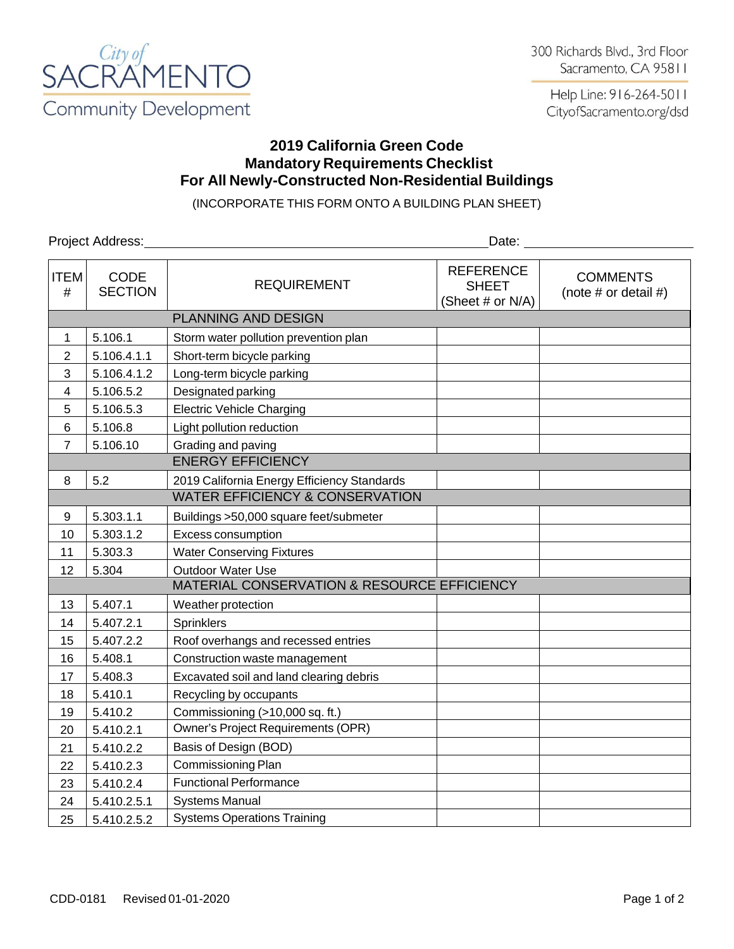

Help Line: 916-264-5011 CityofSacramento.org/dsd

## **2019 California Green Code Mandatory Requirements Checklist For All Newly-Constructed Non-Residential Buildings**

(INCORPORATE THIS FORM ONTO A BUILDING PLAN SHEET)

Project Address: Date: Date: Date: Date: Date: Date: Date: Date: Date: Date: Date: Date: Date: Date: Date: Date: Date: Date: Date: Date: Date: Date: Date: Date: Date: Date: Date: Date: Date: Date: Date: Date: Date: Date: D ITEM # CODE SECTION REQUIREMENT REFERENCE SHEET (Sheet # or N/A) **COMMENTS** (note  $#$  or detail  $#$ ) PLANNING AND DESIGN 1 | 5.106.1 | Storm water pollution prevention plan 2 | 5.106.4.1.1 | Short-term bicycle parking  $3 \mid 5.106.4.1.2 \mid$  Long-term bicycle parking 4 5.106.5.2 Designated parking 5 | 5.106.5.3 | Electric Vehicle Charging 6 5.106.8 Light pollution reduction  $7 \mid 5.106.10 \mid$  Grading and paving ENERGY EFFICIENCY 8 5.2 2019 California Energy Efficiency Standards WATER EFFICIENCY & CONSERVATION 9 5.303.1.1 Buildings >50,000 square feet/submeter 10 5.303.1.2 Excess consumption 11 | 5.303.3 | Water Conserving Fixtures 12 5.304 | Outdoor Water Use MATERIAL CONSERVATION & RESOURCE EFFICIENCY 13 | 5.407.1 | Weather protection 14 5.407.2.1 Sprinklers 15 | 5.407.2.2 | Roof overhangs and recessed entries 16 5.408.1 Construction waste management 17 | 5.408.3 | Excavated soil and land clearing debris 18 5.410.1 Recycling by occupants 19 5.410.2 Commissioning (>10,000 sq. ft.) 20 | 5.410.2.1 | Owner's Project Requirements (OPR) 21 5.410.2.2 Basis of Design (BOD) 22 5.410.2.3 Commissioning Plan 23 5.410.2.4 | Functional Performance 24 | 5.410.2.5.1 | Systems Manual 25 | 5.410.2.5.2 | Systems Operations Training